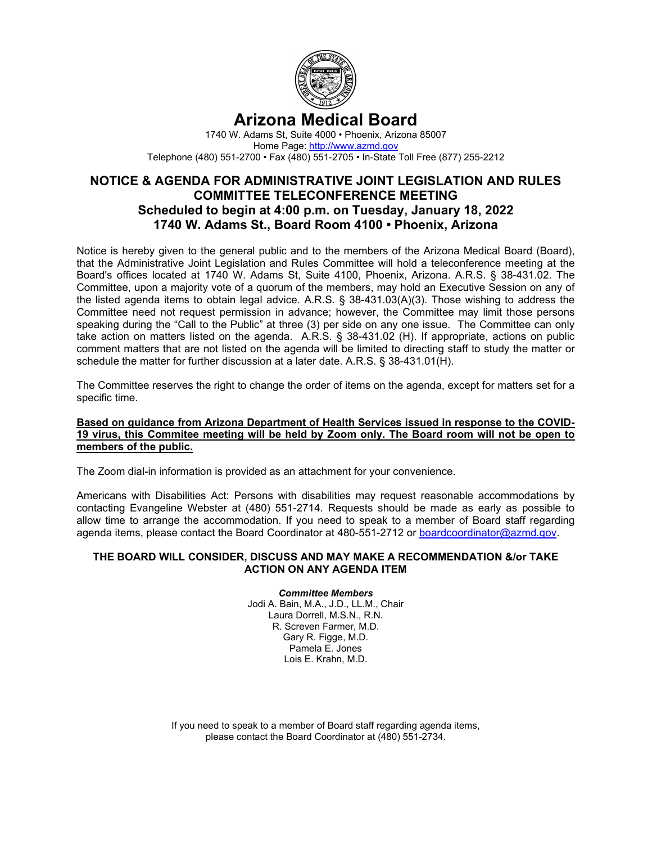

# **Arizona Medical Board**

1740 W. Adams St, Suite 4000 • Phoenix, Arizona 85007 Home Page[: http://www.azmd.gov](http://www.azmd.gov/) Telephone (480) 551-2700 • Fax (480) 551-2705 • In-State Toll Free (877) 255-2212

## **NOTICE & AGENDA FOR ADMINISTRATIVE JOINT LEGISLATION AND RULES COMMITTEE TELECONFERENCE MEETING Scheduled to begin at 4:00 p.m. on Tuesday, January 18, 2022 1740 W. Adams St., Board Room 4100 • Phoenix, Arizona**

Notice is hereby given to the general public and to the members of the Arizona Medical Board (Board), that the Administrative Joint Legislation and Rules Committee will hold a teleconference meeting at the Board's offices located at 1740 W. Adams St, Suite 4100, Phoenix, Arizona. A.R.S. § 38-431.02. The Committee, upon a majority vote of a quorum of the members, may hold an Executive Session on any of the listed agenda items to obtain legal advice. A.R.S. § 38-431.03(A)(3). Those wishing to address the Committee need not request permission in advance; however, the Committee may limit those persons speaking during the "Call to the Public" at three (3) per side on any one issue. The Committee can only take action on matters listed on the agenda. A.R.S. § 38-431.02 (H). If appropriate, actions on public comment matters that are not listed on the agenda will be limited to directing staff to study the matter or schedule the matter for further discussion at a later date. A.R.S. § 38-431.01(H).

The Committee reserves the right to change the order of items on the agenda, except for matters set for a specific time.

#### **Based on guidance from Arizona Department of Health Services issued in response to the COVID-19 virus, this Commitee meeting will be held by Zoom only. The Board room will not be open to members of the public.**

The Zoom dial-in information is provided as an attachment for your convenience.

Americans with Disabilities Act: Persons with disabilities may request reasonable accommodations by contacting Evangeline Webster at (480) 551-2714. Requests should be made as early as possible to allow time to arrange the accommodation. If you need to speak to a member of Board staff regarding agenda items, please contact the Board Coordinator at 480-551-2712 or [boardcoordinator@azmd.gov.](mailto:boardcoordinator@azmd.gov)

#### **THE BOARD WILL CONSIDER, DISCUSS AND MAY MAKE A RECOMMENDATION &/or TAKE ACTION ON ANY AGENDA ITEM**

*Committee Members* Jodi A. Bain, M.A., J.D., LL.M., Chair Laura Dorrell, M.S.N., R.N. R. Screven Farmer, M.D. Gary R. Figge, M.D. Pamela E. Jones Lois E. Krahn, M.D.

If you need to speak to a member of Board staff regarding agenda items, please contact the Board Coordinator at (480) 551-2734.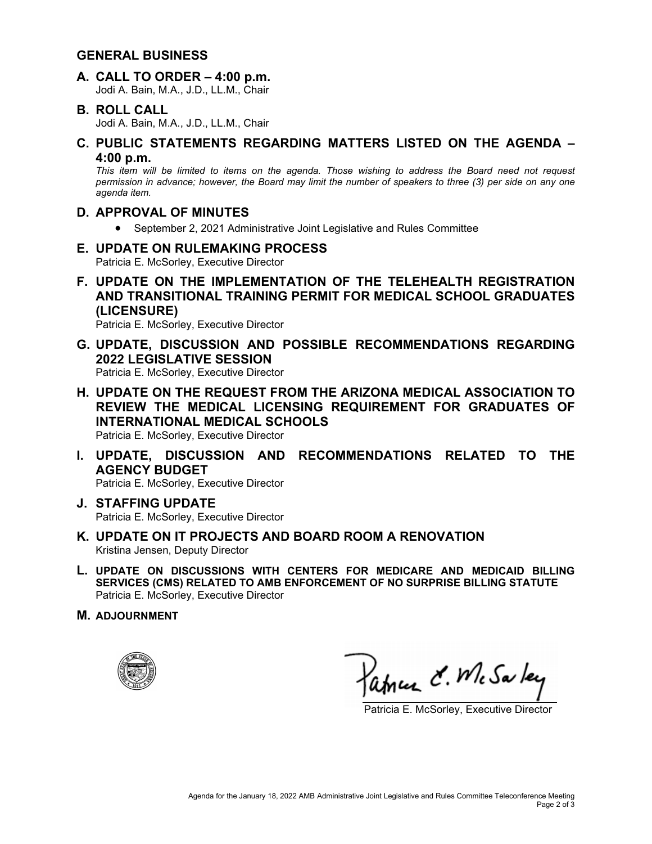### **GENERAL BUSINESS**

**A. CALL TO ORDER – 4:00 p.m.** Jodi A. Bain, M.A., J.D., LL.M., Chair

### **B. ROLL CALL**

Jodi A. Bain, M.A., J.D., LL.M., Chair

**C. PUBLIC STATEMENTS REGARDING MATTERS LISTED ON THE AGENDA – 4:00 p.m.**

*This item will be limited to items on the agenda. Those wishing to address the Board need not request permission in advance; however, the Board may limit the number of speakers to three (3) per side on any one agenda item.*

- **D. APPROVAL OF MINUTES**
	- September 2, 2021 Administrative Joint Legislative and Rules Committee
- **E. UPDATE ON RULEMAKING PROCESS** Patricia E. McSorley, Executive Director
- **F. UPDATE ON THE IMPLEMENTATION OF THE TELEHEALTH REGISTRATION AND TRANSITIONAL TRAINING PERMIT FOR MEDICAL SCHOOL GRADUATES (LICENSURE)**

Patricia E. McSorley, Executive Director

**G. UPDATE, DISCUSSION AND POSSIBLE RECOMMENDATIONS REGARDING 2022 LEGISLATIVE SESSION**

Patricia E. McSorley, Executive Director

- **H. UPDATE ON THE REQUEST FROM THE ARIZONA MEDICAL ASSOCIATION TO REVIEW THE MEDICAL LICENSING REQUIREMENT FOR GRADUATES OF INTERNATIONAL MEDICAL SCHOOLS** Patricia E. McSorley, Executive Director
- **I. UPDATE, DISCUSSION AND RECOMMENDATIONS RELATED TO THE AGENCY BUDGET**

Patricia E. McSorley, Executive Director

- **J. STAFFING UPDATE** Patricia E. McSorley, Executive Director
- **K. UPDATE ON IT PROJECTS AND BOARD ROOM A RENOVATION** Kristina Jensen, Deputy Director
- **L. UPDATE ON DISCUSSIONS WITH CENTERS FOR MEDICARE AND MEDICAID BILLING SERVICES (CMS) RELATED TO AMB ENFORCEMENT OF NO SURPRISE BILLING STATUTE** Patricia E. McSorley, Executive Director
- **M. ADJOURNMENT**



amer C. McSaley

Patricia E. McSorley, Executive Director